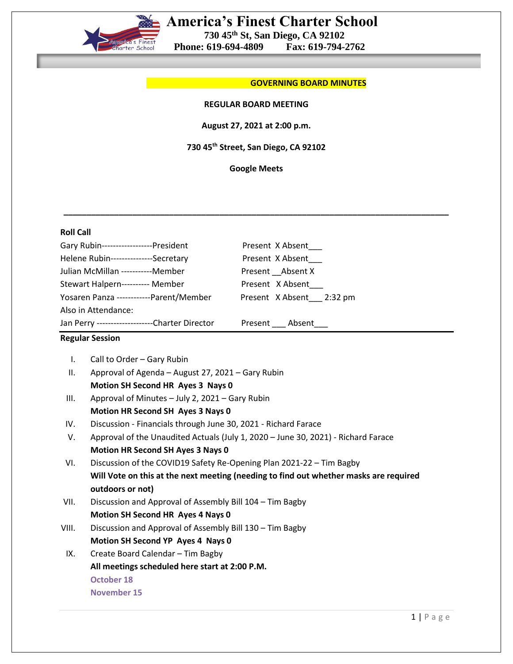

# **America's Finest Charter School**

 **730 45th St, San Diego, CA 92102**

 **Phone: 619-694-4809** 

#### **COVERNING BOARD MINUTES**

### **REGULAR BOARD MEETING**

**August 27, 2021 at 2:00 p.m.**

**730 45th Street, San Diego, CA 92102**

**Google Meets**

| <b>Roll Call</b>                                                      |                                                                                       |                                      |                                                                     |
|-----------------------------------------------------------------------|---------------------------------------------------------------------------------------|--------------------------------------|---------------------------------------------------------------------|
| Gary Rubin------------------President                                 |                                                                                       | Present X Absent                     |                                                                     |
| Helene Rubin---------------Secretary                                  |                                                                                       | Present X Absent                     |                                                                     |
| Julian McMillan -----------Member<br>Stewart Halpern---------- Member |                                                                                       | Present Absent X<br>Present X Absent |                                                                     |
|                                                                       |                                                                                       |                                      | Yosaren Panza ------------Parent/Member<br>Present X Absent 2:32 pm |
|                                                                       | Also in Attendance:                                                                   |                                      |                                                                     |
|                                                                       | Jan Perry ---------------------Charter Director                                       | Present Absent                       |                                                                     |
|                                                                       | <b>Regular Session</b>                                                                |                                      |                                                                     |
| $\mathsf{L}$                                                          | Call to Order - Gary Rubin                                                            |                                      |                                                                     |
| ΙΙ.                                                                   | Approval of Agenda - August 27, 2021 - Gary Rubin                                     |                                      |                                                                     |
|                                                                       | Motion SH Second HR Ayes 3 Nays 0                                                     |                                      |                                                                     |
| III.                                                                  | Approval of Minutes - July 2, 2021 - Gary Rubin                                       |                                      |                                                                     |
|                                                                       | Motion HR Second SH Ayes 3 Nays 0                                                     |                                      |                                                                     |
| IV.                                                                   | Discussion - Financials through June 30, 2021 - Richard Farace                        |                                      |                                                                     |
| V.                                                                    | Approval of the Unaudited Actuals (July 1, 2020 - June 30, 2021) - Richard Farace     |                                      |                                                                     |
|                                                                       | <b>Motion HR Second SH Ayes 3 Nays 0</b>                                              |                                      |                                                                     |
| VI.                                                                   | Discussion of the COVID19 Safety Re-Opening Plan 2021-22 - Tim Bagby                  |                                      |                                                                     |
|                                                                       | Will Vote on this at the next meeting (needing to find out whether masks are required |                                      |                                                                     |
|                                                                       | outdoors or not)                                                                      |                                      |                                                                     |
| VII.                                                                  | Discussion and Approval of Assembly Bill 104 - Tim Bagby                              |                                      |                                                                     |
|                                                                       | Motion SH Second HR Ayes 4 Nays 0                                                     |                                      |                                                                     |
| VIII.                                                                 | Discussion and Approval of Assembly Bill 130 - Tim Bagby                              |                                      |                                                                     |
|                                                                       | Motion SH Second YP Ayes 4 Nays 0                                                     |                                      |                                                                     |
| IX.                                                                   | Create Board Calendar - Tim Bagby                                                     |                                      |                                                                     |
|                                                                       | All meetings scheduled here start at 2:00 P.M.                                        |                                      |                                                                     |
|                                                                       | <b>October 18</b>                                                                     |                                      |                                                                     |
|                                                                       | <b>November 15</b>                                                                    |                                      |                                                                     |
|                                                                       |                                                                                       |                                      |                                                                     |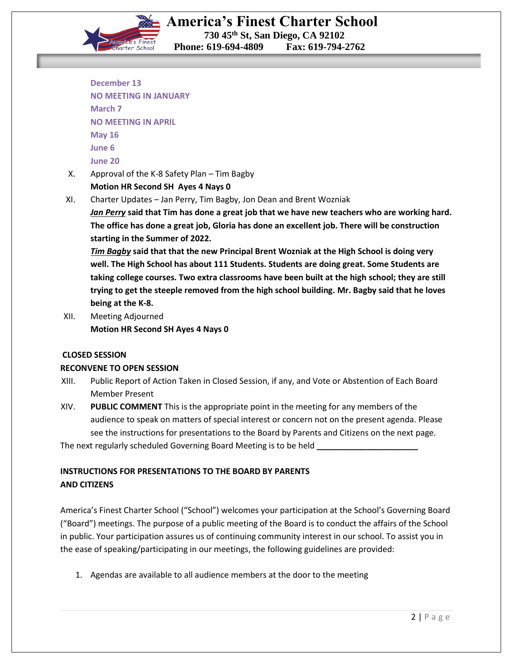

**Phone: 619-694-4809** 

- **December 13 NO MEETING IN JANUARY March 7 NO MEETING IN APRIL May 16 June 6 June 20**
- X. Approval of the K-8 Safety Plan Tim Bagby

**Motion HR Second SH Ayes 4 Nays 0**

XI. Charter Updates – Jan Perry, Tim Bagby, Jon Dean and Brent Wozniak

*Jan Perry* **said that Tim has done a great job that we have new teachers who are working hard. The office has done a great job, Gloria has done an excellent job. There will be construction starting in the Summer of 2022.**

*Tim Bagby* **said that that the new Principal Brent Wozniak at the High School is doing very well. The High School has about 111 Students. Students are doing great. Some Students are taking college courses. Two extra classrooms have been built at the high school; they are still trying to get the steeple removed from the high school building. Mr. Bagby said that he loves being at the K-8.**

XII. Meeting Adjourned  **Motion HR Second SH Ayes 4 Nays 0**

### **CLOSED SESSION**

### **RECONVENE TO OPEN SESSION**

- XIII. Public Report of Action Taken in Closed Session, if any, and Vote or Abstention of Each Board Member Present
- XIV. **PUBLIC COMMENT** This is the appropriate point in the meeting for any members of the audience to speak on matters of special interest or concern not on the present agenda. Please see the instructions for presentations to the Board by Parents and Citizens on the next page.

The next regularly scheduled Governing Board Meeting is to be held **\_\_\_\_\_\_\_\_\_\_\_\_\_\_\_\_\_\_\_\_\_\_**

## **INSTRUCTIONS FOR PRESENTATIONS TO THE BOARD BY PARENTS AND CITIZENS**

America's Finest Charter School ("School") welcomes your participation at the School's Governing Board ("Board") meetings. The purpose of a public meeting of the Board is to conduct the affairs of the School in public. Your participation assures us of continuing community interest in our school. To assist you in the ease of speaking/participating in our meetings, the following guidelines are provided:

1. Agendas are available to all audience members at the door to the meeting